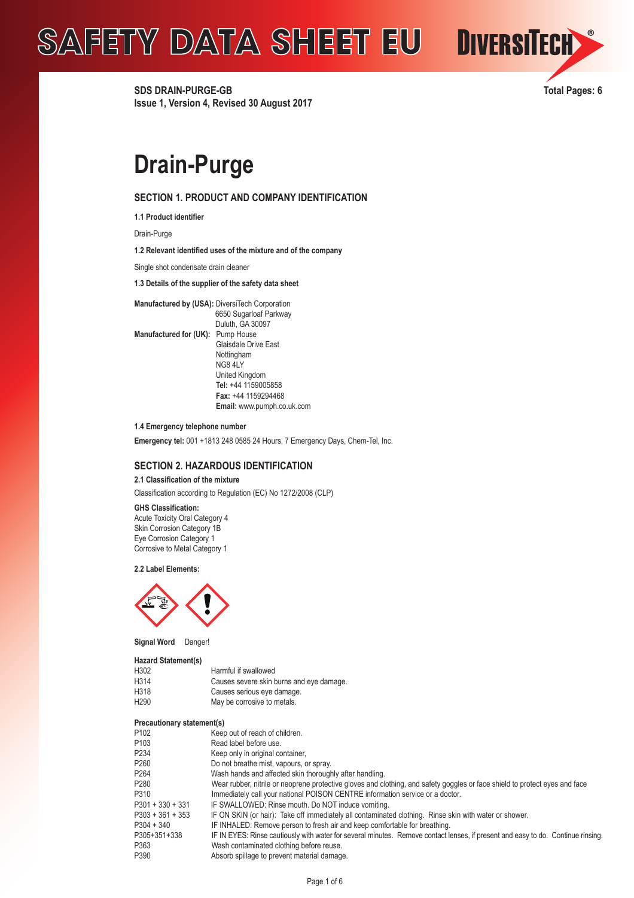

**SDS DRAIN-PURGE-GB Total Pages: 6 Issue 1, Version 4, Revised 30 August 2017**

## **Drain-Purge**

## **SECTION 1. PRODUCT AND COMPANY IDENTIFICATION**

**1.1 Product identifier** 

Drain-Purge

**1.2 Relevant identified uses of the mixture and of the company**

Single shot condensate drain cleaner

**1.3 Details of the supplier of the safety data sheet** 

**Manufactured by (USA):** DiversiTech Corporation 6650 Sugarloaf Parkway Duluth, GA 30097 **Manufactured for (UK):** Pump House Glaisdale Drive East Nottingham NG8 4LY United Kingdom  **Tel:** +44 1159005858  **Fax:** +44 1159294468  **Email:** www.pumph.co.uk.com

**1.4 Emergency telephone number**

**Emergency tel:** 001 +1813 248 0585 24 Hours, 7 Emergency Days, Chem-Tel, Inc.

## **SECTION 2. HAZARDOUS IDENTIFICATION**

**2.1 Classification of the mixture**

Classification according to Regulation (EC) No 1272/2008 (CLP)

### **GHS Classification:**

Acute Toxicity Oral Category 4 Skin Corrosion Category 1B Eye Corrosion Category 1 Corrosive to Metal Category 1

**2.2 Label Elements:**



**Signal Word** Danger!

#### **Hazard Statement(s)**

| H302             | Harmful if swallowed                     |
|------------------|------------------------------------------|
| H314             | Causes severe skin burns and eye damage. |
| H318             | Causes serious eye damage.               |
| H <sub>290</sub> | May be corrosive to metals.              |

#### **Precautionary statement(s)**

| Precautionary statement(s)                                                                                                       |
|----------------------------------------------------------------------------------------------------------------------------------|
| Keep out of reach of children.                                                                                                   |
| Read label before use.                                                                                                           |
| Keep only in original container,                                                                                                 |
| Do not breathe mist, vapours, or spray.                                                                                          |
| Wash hands and affected skin thoroughly after handling.                                                                          |
| Wear rubber, nitrile or neoprene protective gloves and clothing, and safety goggles or face shield to protect eyes and face      |
| Immediately call your national POISON CENTRE information service or a doctor.                                                    |
| IF SWALLOWED: Rinse mouth. Do NOT induce vomiting.                                                                               |
| IF ON SKIN (or hair): Take off immediately all contaminated clothing. Rinse skin with water or shower.                           |
| IF INHALED: Remove person to fresh air and keep comfortable for breathing.                                                       |
| IF IN EYES: Rinse cautiously with water for several minutes. Remove contact lenses, if present and easy to do. Continue rinsing. |
| Wash contaminated clothing before reuse.                                                                                         |
| Absorb spillage to prevent material damage.                                                                                      |
|                                                                                                                                  |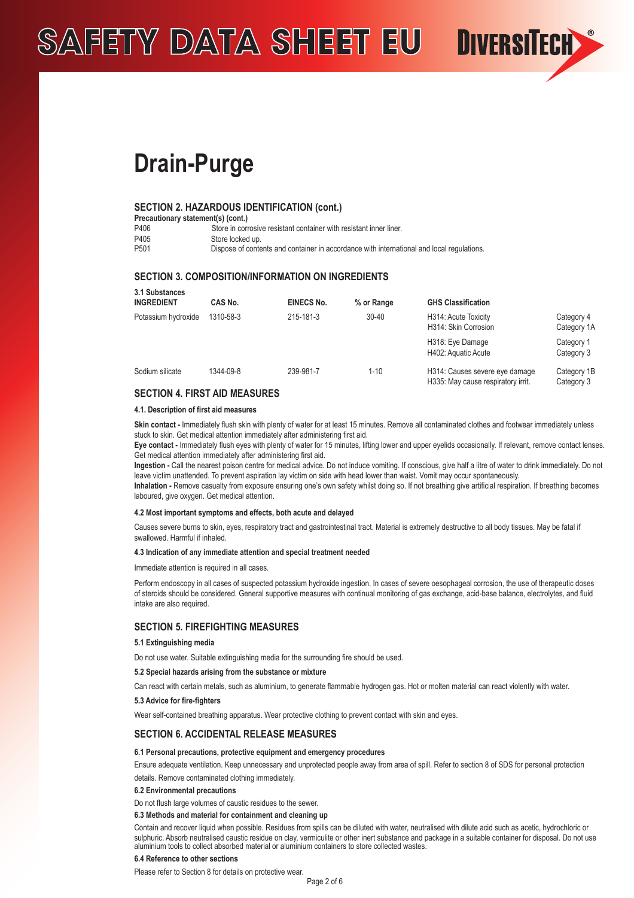**Drain-Purge**

## **SECTION 2. HAZARDOUS IDENTIFICATION (cont.)**

| Precautionary statement(s) (cont.) |                                                                                           |  |  |  |
|------------------------------------|-------------------------------------------------------------------------------------------|--|--|--|
| P406                               | Store in corrosive resistant container with resistant inner liner.                        |  |  |  |
| P405                               | Store locked up.                                                                          |  |  |  |
| P <sub>501</sub>                   | Dispose of contents and container in accordance with international and local regulations. |  |  |  |

## **SECTION 3. COMPOSITION/INFORMATION ON INGREDIENTS**

| 3.1 Substances<br><b>INGREDIENT</b> | CAS No.   | <b>EINECS No.</b> | % or Range | <b>GHS Classification</b>                                            |                           |
|-------------------------------------|-----------|-------------------|------------|----------------------------------------------------------------------|---------------------------|
| Potassium hydroxide                 | 1310-58-3 | 215-181-3         | $30 - 40$  | H314: Acute Toxicity<br>H314: Skin Corrosion                         | Category 4<br>Category 1A |
|                                     |           |                   |            | H318: Eye Damage<br>H402: Aquatic Acute                              | Category 1<br>Category 3  |
| Sodium silicate                     | 1344-09-8 | 239-981-7         | $1 - 10$   | H314: Causes severe eye damage<br>H335: May cause respiratory irrit. | Category 1B<br>Category 3 |
|                                     |           |                   |            |                                                                      |                           |

**DIVERSITECH** 

## **SECTION 4. FIRST AID MEASURES**

#### **4.1. Description of first aid measures**

Skin contact - Immediately flush skin with plenty of water for at least 15 minutes. Remove all contaminated clothes and footwear immediately unless stuck to skin. Get medical attention immediately after administering first aid.

**Eye contact -** Immediately flush eyes with plenty of water for 15 minutes, lifting lower and upper eyelids occasionally. If relevant, remove contact lenses. Get medical attention immediately after administering first aid.

**Ingestion -** Call the nearest poison centre for medical advice. Do not induce vomiting. If conscious, give half a litre of water to drink immediately. Do not leave victim unattended. To prevent aspiration lay victim on side with head lower than waist. Vomit may occur spontaneously.

**Inhalation -** Remove casualty from exposure ensuring one's own safety whilst doing so. If not breathing give artificial respiration. If breathing becomes laboured, give oxygen. Get medical attention.

#### **4.2 Most important symptoms and effects, both acute and delayed**

Causes severe burns to skin, eyes, respiratory tract and gastrointestinal tract. Material is extremely destructive to all body tissues. May be fatal if swallowed. Harmful if inhaled.

#### **4.3 Indication of any immediate attention and special treatment needed**

Immediate attention is required in all cases.

Perform endoscopy in all cases of suspected potassium hydroxide ingestion. In cases of severe oesophageal corrosion, the use of therapeutic doses of steroids should be considered. General supportive measures with continual monitoring of gas exchange, acid-base balance, electrolytes, and fluid intake are also required.

## **SECTION 5. FIREFIGHTING MEASURES**

#### **5.1 Extinguishing media**

Do not use water. Suitable extinguishing media for the surrounding fire should be used.

#### **5.2 Special hazards arising from the substance or mixture**

Can react with certain metals, such as aluminium, to generate flammable hydrogen gas. Hot or molten material can react violently with water.

### **5.3 Advice for fire-fighters**

Wear self-contained breathing apparatus. Wear protective clothing to prevent contact with skin and eyes.

## **SECTION 6. ACCIDENTAL RELEASE MEASURES**

## **6.1 Personal precautions, protective equipment and emergency procedures**

Ensure adequate ventilation. Keep unnecessary and unprotected people away from area of spill. Refer to section 8 of SDS for personal protection details. Remove contaminated clothing immediately.

#### **6.2 Environmental precautions**

Do not flush large volumes of caustic residues to the sewer.

## **6.3 Methods and material for containment and cleaning up**

Contain and recover liquid when possible. Residues from spills can be diluted with water, neutralised with dilute acid such as acetic, hydrochloric or sulphuric. Absorb neutralised caustic residue on clay, vermiculite or other inert substance and package in a suitable container for disposal. Do not use aluminium tools to collect absorbed material or aluminium containers to store collected wastes.

#### **6.4 Reference to other sections**

Please refer to Section 8 for details on protective wear.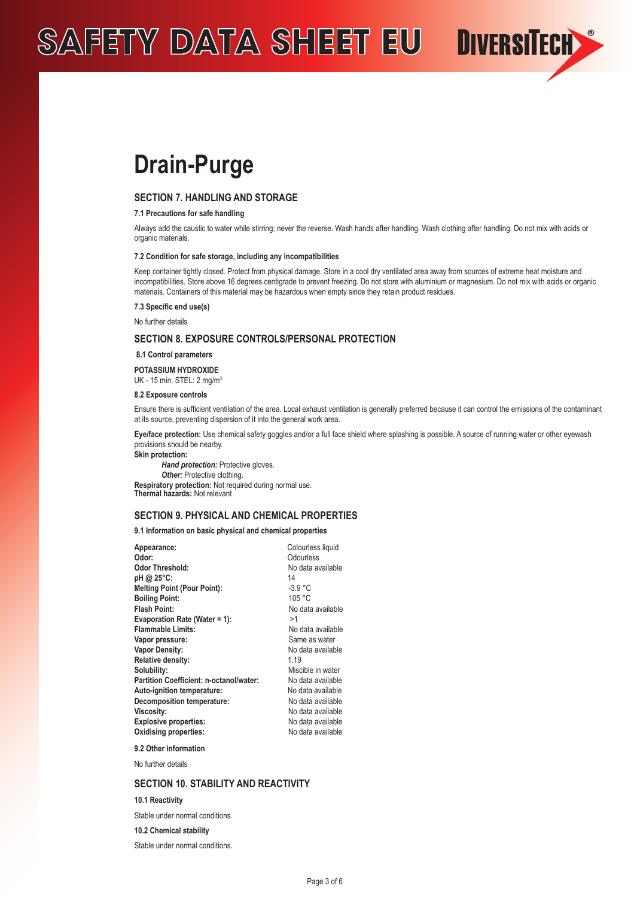**Drain-Purge**

## **SECTION 7. HANDLING AND STORAGE**

### **7.1 Precautions for safe handling**

Always add the caustic to water while stirring; never the reverse. Wash hands after handling. Wash clothing after handling. Do not mix with acids or organic materials

**DIVERSITECH** 

#### **7.2 Condition for safe storage, including any incompatibilities**

Keep container tightly closed. Protect from physical damage. Store in a cool dry ventilated area away from sources of extreme heat moisture and incompatibilities. Store above 16 degrees centigrade to prevent freezing. Do not store with aluminium or magnesium. Do not mix with acids or organic materials. Containers of this material may be hazardous when empty since they retain product residues.

#### **7.3 Specific end use(s)**

No further details

## **SECTION 8. EXPOSURE CONTROLS/PERSONAL PROTECTION**

### **8.1 Control parameters**

**POTASSIUM HYDROXIDE**  UK - 15 min. STEL: 2 mg/m<sup>3</sup>

#### **8.2 Exposure controls**

Ensure there is sufficient ventilation of the area. Local exhaust ventilation is generally preferred because it can control the emissions of the contaminant at its source, preventing dispersion of it into the general work area.

**Eye/face protection:** Use chemical safety goggles and/or a full face shield where splashing is possible. A source of running water or other eyewash provisions should be nearby.

**Skin protection:** 

*Hand protection: Protective gloves.* **Other:** Protective clothing. **Respiratory protection:** Not required during normal use. **Thermal hazards:** Not relevant

## **SECTION 9. PHYSICAL AND CHEMICAL PROPERTIES**

**9.1 Information on basic physical and chemical properties**

| Appearance:                             | Colourless liquid |
|-----------------------------------------|-------------------|
| Odor:                                   | Odourless         |
| Odor Threshold:                         | No data available |
| pH @ 25°C:                              | 14                |
| <b>Melting Point (Pour Point):</b>      | $-3.9 °C$         |
| <b>Boiling Point:</b>                   | 105 °C            |
| Flash Point:                            | No data available |
| <b>Evaporation Rate (Water = 1):</b>    | >1                |
| <b>Flammable Limits:</b>                | No data available |
| Vapor pressure:                         | Same as water     |
| <b>Vapor Density:</b>                   | No data available |
| <b>Relative density:</b>                | 1 1 9             |
| Solubility:                             | Miscible in water |
| Partition Coefficient: n-octanol/water: | No data available |
| Auto-ignition temperature:              | No data available |
| <b>Decomposition temperature:</b>       | No data available |
| Viscosity:                              | No data available |
| <b>Explosive properties:</b>            | No data available |
| <b>Oxidising properties:</b>            | No data available |
|                                         |                   |

**9.2 Other information** No further details

## **SECTION 10. STABILITY AND REACTIVITY**

#### **10.1 Reactivity**

Stable under normal conditions.

**10.2 Chemical stability**

Stable under normal conditions.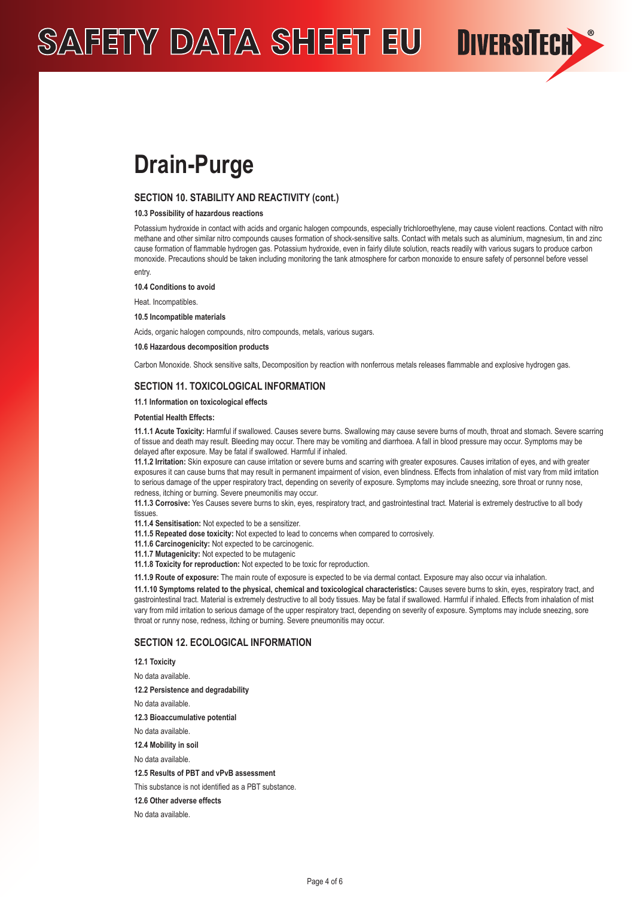

## **SECTION 10. STABILITY AND REACTIVITY (cont.)**

## **10.3 Possibility of hazardous reactions**

Potassium hydroxide in contact with acids and organic halogen compounds, especially trichloroethylene, may cause violent reactions. Contact with nitro methane and other similar nitro compounds causes formation of shock-sensitive salts. Contact with metals such as aluminium, magnesium, tin and zinc cause formation of flammable hydrogen gas. Potassium hydroxide, even in fairly dilute solution, reacts readily with various sugars to produce carbon monoxide. Precautions should be taken including monitoring the tank atmosphere for carbon monoxide to ensure safety of personnel before vessel entry.

**DIVERSITECH** 

**10.4 Conditions to avoid**

Heat. Incompatibles.

**10.5 Incompatible materials**

Acids, organic halogen compounds, nitro compounds, metals, various sugars.

#### **10.6 Hazardous decomposition products**

Carbon Monoxide. Shock sensitive salts, Decomposition by reaction with nonferrous metals releases flammable and explosive hydrogen gas.

### **SECTION 11. TOXICOLOGICAL INFORMATION**

## **11.1 Information on toxicological effects**

#### **Potential Health Effects:**

**11.1.1 Acute Toxicity:** Harmful if swallowed. Causes severe burns. Swallowing may cause severe burns of mouth, throat and stomach. Severe scarring of tissue and death may result. Bleeding may occur. There may be vomiting and diarrhoea. A fall in blood pressure may occur. Symptoms may be delayed after exposure. May be fatal if swallowed. Harmful if inhaled.

**11.1.2 Irritation:** Skin exposure can cause irritation or severe burns and scarring with greater exposures. Causes irritation of eyes, and with greater exposures it can cause burns that may result in permanent impairment of vision, even blindness. Effects from inhalation of mist vary from mild irritation to serious damage of the upper respiratory tract, depending on severity of exposure. Symptoms may include sneezing, sore throat or runny nose, redness, itching or burning. Severe pneumonitis may occur.

**11.1.3 Corrosive:** Yes Causes severe burns to skin, eyes, respiratory tract, and gastrointestinal tract. Material is extremely destructive to all body tissues.

**11.1.4 Sensitisation:** Not expected to be a sensitizer.

**11.1.5 Repeated dose toxicity:** Not expected to lead to concerns when compared to corrosively.

**11.1.6 Carcinogenicity:** Not expected to be carcinogenic.

**11.1.7 Mutagenicity:** Not expected to be mutagenic

**11.1.8 Toxicity for reproduction:** Not expected to be toxic for reproduction.

**11.1.9 Route of exposure:** The main route of exposure is expected to be via dermal contact. Exposure may also occur via inhalation.

**11.1.10 Symptoms related to the physical, chemical and toxicological characteristics:** Causes severe burns to skin, eyes, respiratory tract, and gastrointestinal tract. Material is extremely destructive to all body tissues. May be fatal if swallowed. Harmful if inhaled. Effects from inhalation of mist vary from mild irritation to serious damage of the upper respiratory tract, depending on severity of exposure. Symptoms may include sneezing, sore throat or runny nose, redness, itching or burning. Severe pneumonitis may occur.

## **SECTION 12. ECOLOGICAL INFORMATION**

**12.1 Toxicity**

No data available.

**12.2 Persistence and degradability**

No data available.

**12.3 Bioaccumulative potential**

No data available.

**12.4 Mobility in soil**

No data available.

**12.5 Results of PBT and vPvB assessment**

This substance is not identified as a PBT substance.

**12.6 Other adverse effects**

No data available.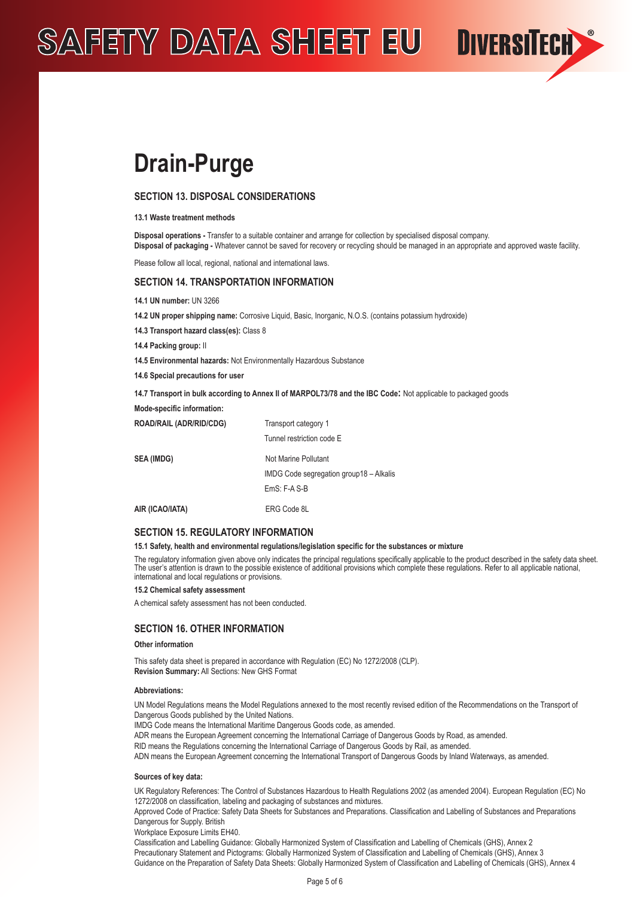

## **SECTION 13. DISPOSAL CONSIDERATIONS**

#### **13.1 Waste treatment methods**

**Disposal operations -** Transfer to a suitable container and arrange for collection by specialised disposal company. **Disposal of packaging -** Whatever cannot be saved for recovery or recycling should be managed in an appropriate and approved waste facility.

**DIVERSITECH** 

Please follow all local, regional, national and international laws.

## **SECTION 14. TRANSPORTATION INFORMATION**

**14.1 UN number:** UN 3266

**14.2 UN proper shipping name:** Corrosive Liquid, Basic, Inorganic, N.O.S. (contains potassium hydroxide)

**14.3 Transport hazard class(es):** Class 8

**14.4 Packing group:** II

**14.5 Environmental hazards:** Not Environmentally Hazardous Substance

**14.6 Special precautions for user**

**14.7 Transport in bulk according to Annex II of MARPOL73/78 and the IBC Code:** Not applicable to packaged goods

| Mode-specific information:     |                                         |  |
|--------------------------------|-----------------------------------------|--|
| <b>ROAD/RAIL (ADR/RID/CDG)</b> | Transport category 1                    |  |
|                                | Tunnel restriction code E               |  |
| <b>SEA (IMDG)</b>              | Not Marine Pollutant                    |  |
|                                | IMDG Code segregation group18 - Alkalis |  |
|                                | $EmS: F-A S-B$                          |  |
| AIR (ICAO/IATA)                | ERG Code 8L                             |  |

### **SECTION 15. REGULATORY INFORMATION**

#### **15.1 Safety, health and environmental regulations/legislation specific for the substances or mixture**

The regulatory information given above only indicates the principal regulations specifically applicable to the product described in the safety data sheet. The user's attention is drawn to the possible existence of additional provisions which complete these regulations. Refer to all applicable national, international and local regulations or provisions.

#### **15.2 Chemical safety assessment**

A chemical safety assessment has not been conducted.

## **SECTION 16. OTHER INFORMATION**

#### **Other information**

This safety data sheet is prepared in accordance with Regulation (EC) No 1272/2008 (CLP). **Revision Summary:** All Sections: New GHS Format

#### **Abbreviations:**

UN Model Regulations means the Model Regulations annexed to the most recently revised edition of the Recommendations on the Transport of Dangerous Goods published by the United Nations.

IMDG Code means the International Maritime Dangerous Goods code, as amended.

ADR means the European Agreement concerning the International Carriage of Dangerous Goods by Road, as amended.

RID means the Regulations concerning the International Carriage of Dangerous Goods by Rail, as amended.

ADN means the European Agreement concerning the International Transport of Dangerous Goods by Inland Waterways, as amended.

#### **Sources of key data:**

UK Regulatory References: The Control of Substances Hazardous to Health Regulations 2002 (as amended 2004). European Regulation (EC) No 1272/2008 on classification, labeling and packaging of substances and mixtures.

Approved Code of Practice: Safety Data Sheets for Substances and Preparations. Classification and Labelling of Substances and Preparations Dangerous for Supply. British

Workplace Exposure Limits EH40.

Classification and Labelling Guidance: Globally Harmonized System of Classification and Labelling of Chemicals (GHS), Annex 2 Precautionary Statement and Pictograms: Globally Harmonized System of Classification and Labelling of Chemicals (GHS), Annex 3 Guidance on the Preparation of Safety Data Sheets: Globally Harmonized System of Classification and Labelling of Chemicals (GHS), Annex 4